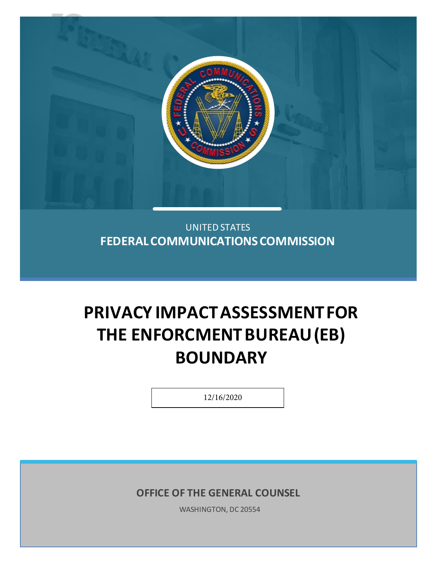

UNITED STATES **FEDERAL COMMUNICATIONS COMMISSION**

# **PRIVACY IMPACT ASSESSMENTFOR THE ENFORCMENT BUREAU (EB) BOUNDARY**

12/16/2020

**OFFICE OF THE GENERAL COUNSEL**

WASHINGTON, DC 20554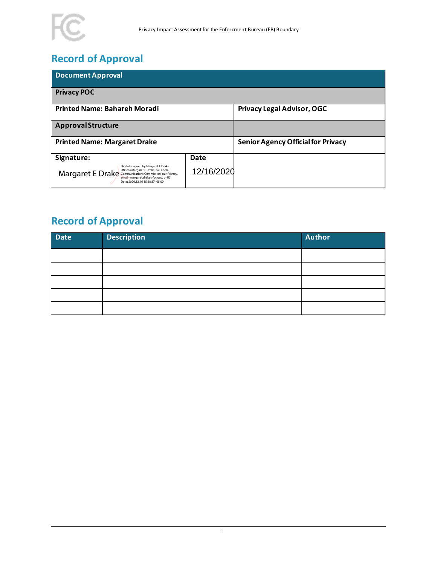

# **Record of Approval**

| <b>Document Approval</b>                                                                                                                                                                                         |            |                                           |  |  |  |  |
|------------------------------------------------------------------------------------------------------------------------------------------------------------------------------------------------------------------|------------|-------------------------------------------|--|--|--|--|
| <b>Privacy POC</b>                                                                                                                                                                                               |            |                                           |  |  |  |  |
| <b>Printed Name: Bahareh Moradi</b>                                                                                                                                                                              |            | Privacy Legal Advisor, OGC                |  |  |  |  |
| <b>Approval Structure</b>                                                                                                                                                                                        |            |                                           |  |  |  |  |
| <b>Printed Name: Margaret Drake</b>                                                                                                                                                                              |            | <b>Senior Agency Official for Privacy</b> |  |  |  |  |
| Signature:                                                                                                                                                                                                       | Date       |                                           |  |  |  |  |
| Digitally signed by Margaret E Drake<br>DN: cn=Margaret E Drake, o=Federal<br>Margaret E Drake Communications Commission, ou=Privacy,<br>email=margaret.drake@fcc.gov, c=US<br>Date: 2020.12.16 15:28:37 -05'00' | 12/16/2020 |                                           |  |  |  |  |

## **Record of Approval**

| Date | <b>Description</b> | <b>Author</b> |
|------|--------------------|---------------|
|      |                    |               |
|      |                    |               |
|      |                    |               |
|      |                    |               |
|      |                    |               |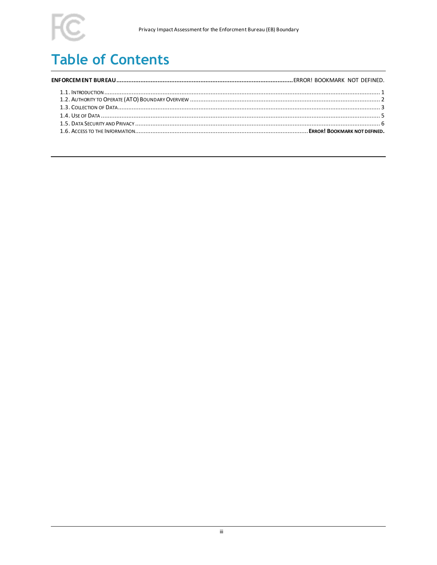# FC<br>Table of Contents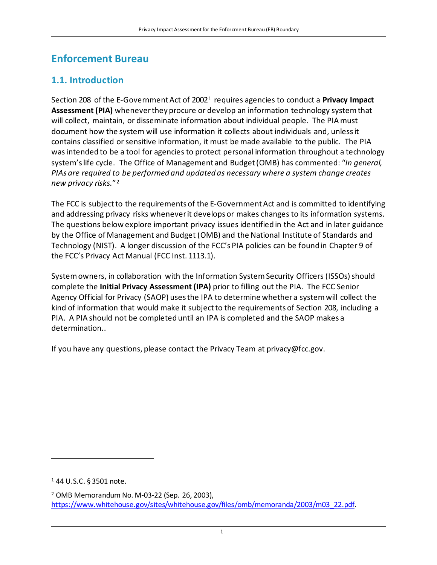### **Enforcement Bureau**

#### <span id="page-3-0"></span>**1.1. Introduction**

Section 208 of the E-Government Act of 2002[1](#page-3-1) requires agencies to conduct a **Privacy Impact Assessment (PIA)** whenever they procure or develop an information technology system that will collect, maintain, or disseminate information about individual people. The PIA must document how the system will use information it collects about individuals and, unless it contains classified or sensitive information, it must be made available to the public. The PIA was intended to be a tool for agencies to protect personal information throughout a technology system's life cycle. The Office of Management and Budget (OMB) has commented: "*In general, PIAs are required to be performed and updated as necessary where a system change creates new privacy risks.*"[2](#page-3-2)

The FCC is subject to the requirements of the E-Government Act and is committed to identifying and addressing privacy risks whenever it develops or makes changes to its information systems. The questions below explore important privacy issues identified in the Act and in later guidance by the Office of Management and Budget (OMB) and the National Institute of Standards and Technology (NIST). A longer discussion of the FCC's PIA policies can be found in Chapter 9 of the FCC's Privacy Act Manual (FCC Inst. 1113.1).

System owners, in collaboration with the Information System Security Officers (ISSOs)should complete the **Initial Privacy Assessment (IPA)** prior to filling out the PIA. The FCC Senior Agency Official for Privacy (SAOP) usesthe IPA to determine whether a system will collect the kind of information that would make it subject to the requirements of Section 208, including a PIA. A PIA should not be completed until an IPA is completed and the SAOP makes a determination..

If you have any questions, please contact the Privacy Team at privacy@fcc.gov.

<span id="page-3-1"></span><sup>1</sup> 44 U.S.C. § 3501 note.

<span id="page-3-2"></span><sup>2</sup> OMB Memorandum No. M-03-22 (Sep. 26, 2003), [https://www.whitehouse.gov/sites/whitehouse.gov/files/omb/memoranda/2003/m03\\_22.pdf.](https://www.whitehouse.gov/sites/whitehouse.gov/files/omb/memoranda/2003/m03_22.pdf)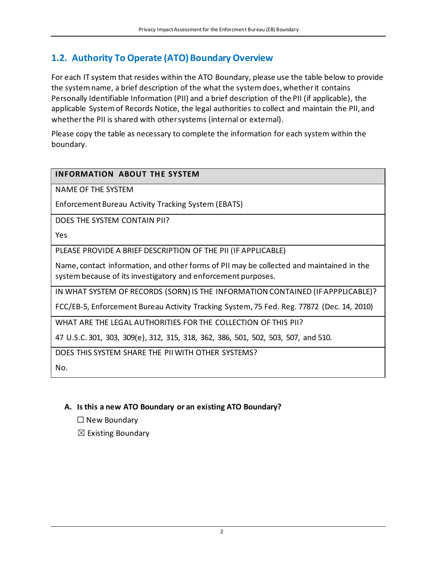#### <span id="page-4-0"></span>1.2. Authority To Operate (ATO) Boundary Overview

For each IT system that resides within the ATO Boundary, please use the table below to provide the system name, a brief description of the what the system does, whether it contains Personally Identifiable Information (PII) and a brief description of the PII (if applicable), the applicable System of Records Notice, the legal authorities to collect and maintain the PII, and whether the PII is shared with other systems (internal or external).

Please copy the table as necessary to complete the information for each system within the boundary.

#### **INFORMATION ABOUT THE SYSTEM**

NAME OF THE SYSTEM

Enforcement Bureau Activity Tracking System (EBATS)

DOES THE SYSTEM CONTAIN PII?

Yes

PLEASE PROVIDE A BRIEF DESCRIPTION OF THE PII (IF APPLICABLE)

Name, contact information, and other forms of PII may be collected and maintained in the system because of its investigatory and enforcement purposes.

IN WHAT SYSTEM OF RECORDS (SORN) IS THE INFORMATION CONTAINED (IF APPPLICABLE)?

FCC/EB-5, Enforcement Bureau Activity Tracking System, 75 Fed. Reg. 77872 (Dec. 14, 2010)

WHAT ARE THE LEGAL AUTHORITIES FOR THE COLLECTION OF THIS PII?

47 U.S.C. 301, 303, 309(e), 312, 315, 318, 362, 386, 501, 502, 503, 507, and 510.

DOES THIS SYSTEM SHARE THE PII WITH OTHER SYSTEMS? No.

#### **A. Is this a new ATO Boundary or an existing ATO Boundary?**

☐ New Boundary

 $\boxtimes$  Existing Boundary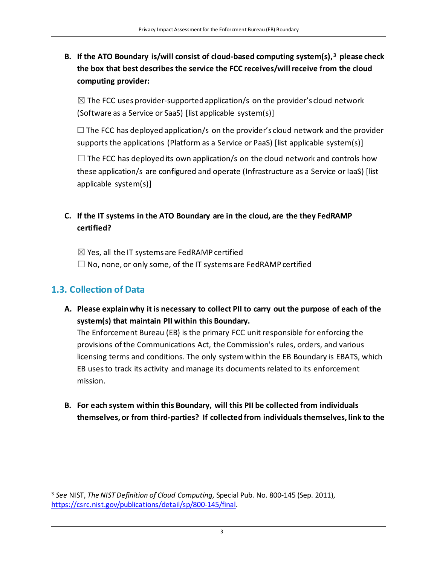#### **B. If the ATO Boundary is/will consist of cloud-based computing system(s),[3](#page-5-1) please check the box that best describes the service the FCC receives/will receive from the cloud computing provider:**

 $\boxtimes$  The FCC uses provider-supported application/s on the provider's cloud network (Software as a Service or SaaS) [list applicable system(s)]

 $\Box$  The FCC has deployed application/s on the provider's cloud network and the provider supports the applications (Platform as a Service or PaaS) [list applicable system(s)]

 $\Box$  The FCC has deployed its own application/s on the cloud network and controls how these application/s are configured and operate (Infrastructure as a Service or IaaS) [list applicable system(s)]

#### **C. If the IT systems in the ATO Boundary are in the cloud, are the they FedRAMP certified?**

 $\boxtimes$  Yes, all the IT systems are FedRAMP certified  $\Box$  No, none, or only some, of the IT systems are FedRAMP certified

#### <span id="page-5-0"></span>**1.3. Collection of Data**

**A. Please explain why it is necessary to collect PII to carry out the purpose of each of the system(s) that maintain PII within this Boundary.**

The Enforcement Bureau (EB) is the primary FCC unit responsible for enforcing the provisions of the Communications Act, the Commission's rules, orders, and various licensing terms and conditions. The only system within the EB Boundary is EBATS, which EB uses to track its activity and manage its documents related to its enforcement mission.

**B. For each system within this Boundary, will this PII be collected from individuals themselves, or from third-parties? If collected from individuals themselves, link to the**

<span id="page-5-1"></span><sup>3</sup> *See* NIST, *The NIST Definition of Cloud Computing*, Special Pub. No. 800-145 (Sep. 2011), [https://csrc.nist.gov/publications/detail/sp/800-145/final.](https://csrc.nist.gov/publications/detail/sp/800-145/final)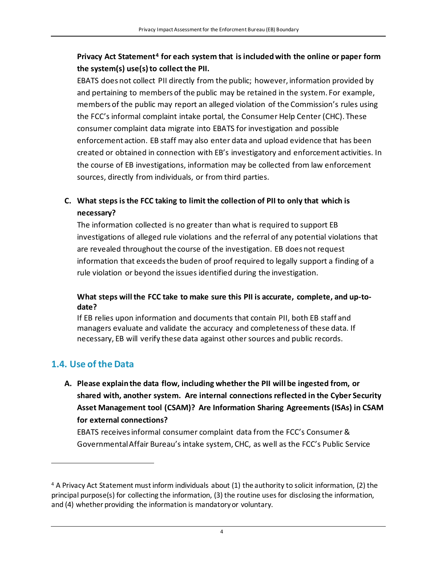#### **Privacy Act Statement[4](#page-6-0) for each system that is included with the online or paper form the system(s) use(s)to collect the PII.**

EBATS does not collect PII directly from the public; however, information provided by and pertaining to members of the public may be retained in the system. For example, members of the public may report an alleged violation of the Commission's rules using the FCC's informal complaint intake portal, the Consumer Help Center (CHC). These consumer complaint data migrate into EBATS for investigation and possible enforcement action. EB staff may also enter data and upload evidence that has been created or obtained in connection with EB's investigatory and enforcement activities. In the course of EB investigations, information may be collected from law enforcement sources, directly from individuals, or from third parties.

#### **C. What steps is the FCC taking to limit the collection of PII to only that which is necessary?**

The information collected is no greater than what is required to support EB investigations of alleged rule violations and the referral of any potential violations that are revealed throughout the course of the investigation. EB does not request information that exceedsthe buden of proof required to legally support a finding of a rule violation or beyond the issues identified during the investigation.

#### **What steps will the FCC take to make sure this PII is accurate, complete, and up-todate?**

If EB relies upon information and documents that contain PII, both EB staff and managers evaluate and validate the accuracy and completeness of these data. If necessary, EB will verify these data against other sources and public records.

#### **1.4. Use of the Data**

**A. Please explain the data flow, including whether the PII will be ingested from, or shared with, another system. Are internal connections reflected in the Cyber Security Asset Management tool (CSAM)? Are Information Sharing Agreements (ISAs) in CSAM for external connections?**

EBATS receives informal consumer complaint data from the FCC's Consumer & Governmental Affair Bureau's intake system, CHC, as well as the FCC's Public Service

4

<span id="page-6-0"></span><sup>4</sup> A Privacy Act Statement must inform individuals about (1) the authority to solicit information, (2) the principal purpose(s) for collecting the information, (3) the routine uses for disclosing the information, and (4) whether providing the information is mandatory or voluntary.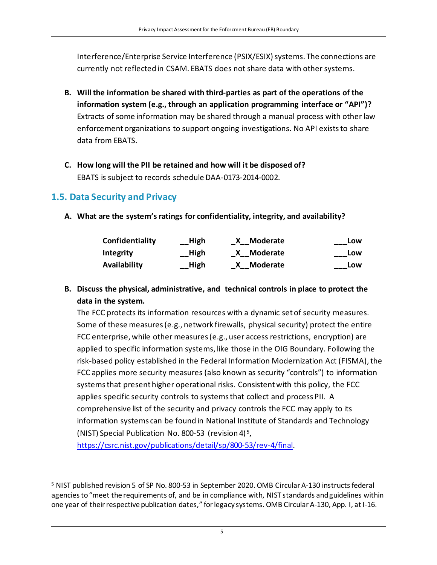Interference/Enterprise Service Interference (PSIX/ESIX) systems. The connections are currently not reflected in CSAM. EBATS does not share data with other systems.

- **B. Will the information be shared with third-parties as part of the operations of the information system (e.g., through an application programming interface or "API")?** Extracts of some information may be shared through a manual process with other law enforcement organizations to support ongoing investigations. No API exists to share data from EBATS.
- **C. How long will the PII be retained and how will it be disposed of?** EBATS is subject to records schedule DAA-0173-2014-0002.

#### <span id="page-7-0"></span>**1.5. Data Security and Privacy**

**A. What are the system's ratings for confidentiality, integrity, and availability?**

| Confidentiality | $\_\_$ High | Moderate     | Low |
|-----------------|-------------|--------------|-----|
| Integrity       | _High       | _X__Moderate | Low |
| Availability    | __High      | X Moderate   | Low |

**B. Discuss the physical, administrative, and technical controls in place to protect the data in the system.**

The FCC protects its information resources with a dynamic set of security measures.  Some of these measures (e.g., network firewalls, physical security) protect the entire FCC enterprise, while other measures (e.g., user access restrictions, encryption) are applied to specific information systems, like those in the OIG Boundary. Following the risk-based policy established in the Federal Information Modernization Act (FISMA), the FCC applies more security measures (also known as security "controls") to information systems that present higher operational risks. Consistent with this policy, the FCC applies specific security controls to systems that collect and process PII.  A comprehensive list of the security and privacy controls the FCC may apply to its information systems can be found in National Institute of Standards and Technology (NIST) Special Publication No. 800-53 (revision 4) [5,](#page-7-1) [https://csrc.nist.gov/publications/detail/sp/800-53/rev-4/final.](https://csrc.nist.gov/publications/detail/sp/800-53/rev-4/final)

<span id="page-7-1"></span><sup>5</sup> NIST published revision 5 of SP No. 800-53 in September 2020. OMB Circular A-130 instructs federal agencies to "meet the requirements of, and be in compliance with, NIST standards and guidelines within one year of their respective publication dates," for legacy systems. OMB Circular A-130, App. I, atI-16.